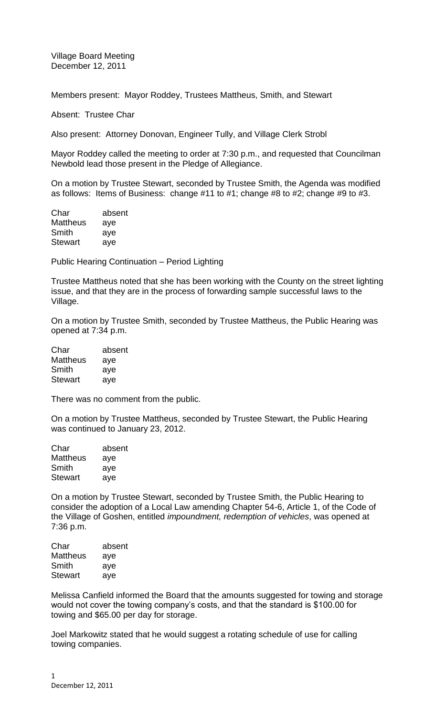Village Board Meeting December 12, 2011

Members present: Mayor Roddey, Trustees Mattheus, Smith, and Stewart

Absent: Trustee Char

Also present: Attorney Donovan, Engineer Tully, and Village Clerk Strobl

Mayor Roddey called the meeting to order at 7:30 p.m., and requested that Councilman Newbold lead those present in the Pledge of Allegiance.

On a motion by Trustee Stewart, seconded by Trustee Smith, the Agenda was modified as follows: Items of Business: change #11 to #1; change #8 to #2; change #9 to #3.

| Char            | absent |
|-----------------|--------|
| <b>Mattheus</b> | aye    |
| Smith           | aye    |
| Stewart         | aye    |

Public Hearing Continuation – Period Lighting

Trustee Mattheus noted that she has been working with the County on the street lighting issue, and that they are in the process of forwarding sample successful laws to the Village.

On a motion by Trustee Smith, seconded by Trustee Mattheus, the Public Hearing was opened at 7:34 p.m.

| Char            | absent |
|-----------------|--------|
| <b>Mattheus</b> | aye    |
| Smith           | aye    |
| Stewart         | aye    |

There was no comment from the public.

On a motion by Trustee Mattheus, seconded by Trustee Stewart, the Public Hearing was continued to January 23, 2012.

| Char            | absent |
|-----------------|--------|
| <b>Mattheus</b> | aye    |
| Smith           | aye    |
| <b>Stewart</b>  | ave    |

On a motion by Trustee Stewart, seconded by Trustee Smith, the Public Hearing to consider the adoption of a Local Law amending Chapter 54-6, Article 1, of the Code of the Village of Goshen, entitled *impoundment, redemption of vehicles*, was opened at 7:36 p.m.

| Char           | absent |
|----------------|--------|
| Mattheus       | aye    |
| Smith          | aye    |
| <b>Stewart</b> | aye    |
|                |        |

Melissa Canfield informed the Board that the amounts suggested for towing and storage would not cover the towing company's costs, and that the standard is \$100.00 for towing and \$65.00 per day for storage.

Joel Markowitz stated that he would suggest a rotating schedule of use for calling towing companies.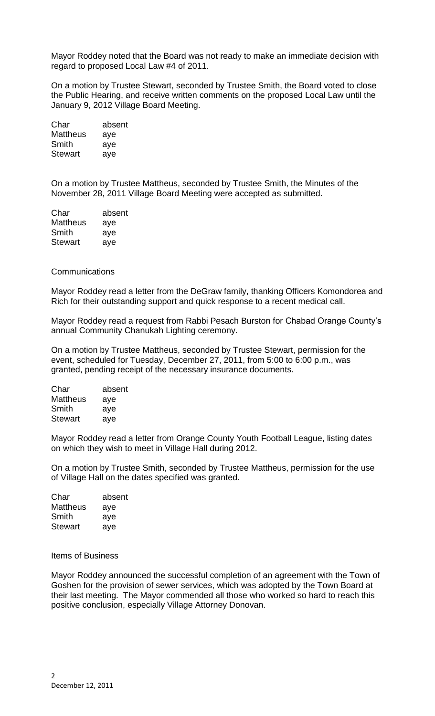Mayor Roddey noted that the Board was not ready to make an immediate decision with regard to proposed Local Law #4 of 2011.

On a motion by Trustee Stewart, seconded by Trustee Smith, the Board voted to close the Public Hearing, and receive written comments on the proposed Local Law until the January 9, 2012 Village Board Meeting.

| absent |
|--------|
| aye    |
| aye    |
| aye    |
|        |

On a motion by Trustee Mattheus, seconded by Trustee Smith, the Minutes of the November 28, 2011 Village Board Meeting were accepted as submitted.

| Char            | absent |
|-----------------|--------|
| <b>Mattheus</b> | aye    |
| Smith           | aye    |
| <b>Stewart</b>  | aye    |

## Communications

Mayor Roddey read a letter from the DeGraw family, thanking Officers Komondorea and Rich for their outstanding support and quick response to a recent medical call.

Mayor Roddey read a request from Rabbi Pesach Burston for Chabad Orange County's annual Community Chanukah Lighting ceremony.

On a motion by Trustee Mattheus, seconded by Trustee Stewart, permission for the event, scheduled for Tuesday, December 27, 2011, from 5:00 to 6:00 p.m., was granted, pending receipt of the necessary insurance documents.

| absent |
|--------|
| aye    |
| aye    |
| aye    |
|        |

Mayor Roddey read a letter from Orange County Youth Football League, listing dates on which they wish to meet in Village Hall during 2012.

On a motion by Trustee Smith, seconded by Trustee Mattheus, permission for the use of Village Hall on the dates specified was granted.

| absent |
|--------|
| aye    |
| aye    |
| aye    |
|        |

#### Items of Business

Mayor Roddey announced the successful completion of an agreement with the Town of Goshen for the provision of sewer services, which was adopted by the Town Board at their last meeting. The Mayor commended all those who worked so hard to reach this positive conclusion, especially Village Attorney Donovan.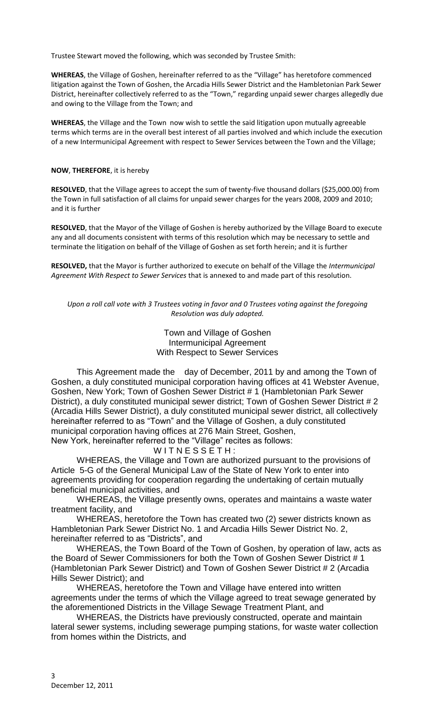Trustee Stewart moved the following, which was seconded by Trustee Smith:

**WHEREAS**, the Village of Goshen, hereinafter referred to as the "Village" has heretofore commenced litigation against the Town of Goshen, the Arcadia Hills Sewer District and the Hambletonian Park Sewer District, hereinafter collectively referred to as the "Town," regarding unpaid sewer charges allegedly due and owing to the Village from the Town; and

**WHEREAS**, the Village and the Town now wish to settle the said litigation upon mutually agreeable terms which terms are in the overall best interest of all parties involved and which include the execution of a new Intermunicipal Agreement with respect to Sewer Services between the Town and the Village;

### **NOW**, **THEREFORE**, it is hereby

**RESOLVED**, that the Village agrees to accept the sum of twenty-five thousand dollars (\$25,000.00) from the Town in full satisfaction of all claims for unpaid sewer charges for the years 2008, 2009 and 2010; and it is further

**RESOLVED**, that the Mayor of the Village of Goshen is hereby authorized by the Village Board to execute any and all documents consistent with terms of this resolution which may be necessary to settle and terminate the litigation on behalf of the Village of Goshen as set forth herein; and it is further

**RESOLVED,** that the Mayor is further authorized to execute on behalf of the Village the *Intermunicipal Agreement With Respect to Sewer Services* that is annexed to and made part of this resolution.

*Upon a roll call vote with 3 Trustees voting in favor and 0 Trustees voting against the foregoing Resolution was duly adopted.*

> Town and Village of Goshen Intermunicipal Agreement With Respect to Sewer Services

This Agreement made the day of December, 2011 by and among the Town of Goshen, a duly constituted municipal corporation having offices at 41 Webster Avenue, Goshen, New York; Town of Goshen Sewer District # 1 (Hambletonian Park Sewer District), a duly constituted municipal sewer district; Town of Goshen Sewer District # 2 (Arcadia Hills Sewer District), a duly constituted municipal sewer district, all collectively hereinafter referred to as "Town" and the Village of Goshen, a duly constituted municipal corporation having offices at 276 Main Street, Goshen,

New York, hereinafter referred to the "Village" recites as follows:

WITNESSETH:

WHEREAS, the Village and Town are authorized pursuant to the provisions of Article 5-G of the General Municipal Law of the State of New York to enter into agreements providing for cooperation regarding the undertaking of certain mutually beneficial municipal activities, and

WHEREAS, the Village presently owns, operates and maintains a waste water treatment facility, and

WHEREAS, heretofore the Town has created two (2) sewer districts known as Hambletonian Park Sewer District No. 1 and Arcadia Hills Sewer District No. 2, hereinafter referred to as "Districts", and

WHEREAS, the Town Board of the Town of Goshen, by operation of law, acts as the Board of Sewer Commissioners for both the Town of Goshen Sewer District # 1 (Hambletonian Park Sewer District) and Town of Goshen Sewer District # 2 (Arcadia Hills Sewer District); and

WHEREAS, heretofore the Town and Village have entered into written agreements under the terms of which the Village agreed to treat sewage generated by the aforementioned Districts in the Village Sewage Treatment Plant, and

WHEREAS, the Districts have previously constructed, operate and maintain lateral sewer systems, including sewerage pumping stations, for waste water collection from homes within the Districts, and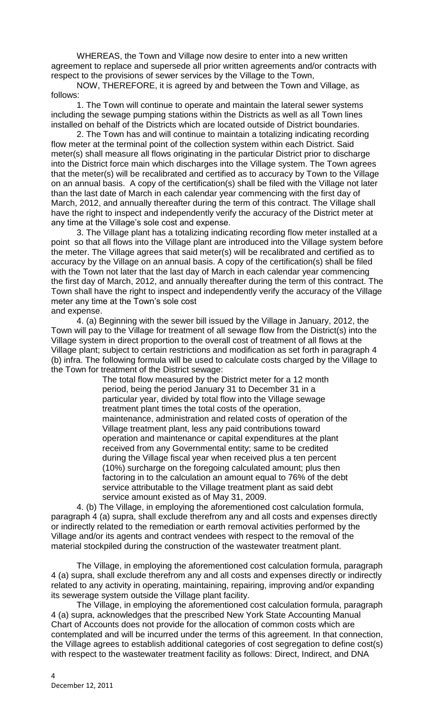WHEREAS, the Town and Village now desire to enter into a new written agreement to replace and supersede all prior written agreements and/or contracts with respect to the provisions of sewer services by the Village to the Town,

NOW, THEREFORE, it is agreed by and between the Town and Village, as follows:

1. The Town will continue to operate and maintain the lateral sewer systems including the sewage pumping stations within the Districts as well as all Town lines installed on behalf of the Districts which are located outside of District boundaries.

2. The Town has and will continue to maintain a totalizing indicating recording flow meter at the terminal point of the collection system within each District. Said meter(s) shall measure all flows originating in the particular District prior to discharge into the District force main which discharges into the Village system. The Town agrees that the meter(s) will be recalibrated and certified as to accuracy by Town to the Village on an annual basis. A copy of the certification(s) shall be filed with the Village not later than the last date of March in each calendar year commencing with the first day of March, 2012, and annually thereafter during the term of this contract. The Village shall have the right to inspect and independently verify the accuracy of the District meter at any time at the Village's sole cost and expense.

3. The Village plant has a totalizing indicating recording flow meter installed at a point so that all flows into the Village plant are introduced into the Village system before the meter. The Village agrees that said meter(s) will be recalibrated and certified as to accuracy by the Village on an annual basis. A copy of the certification(s) shall be filed with the Town not later that the last day of March in each calendar year commencing the first day of March, 2012, and annually thereafter during the term of this contract. The Town shall have the right to inspect and independently verify the accuracy of the Village meter any time at the Town's sole cost

## and expense.

4. (a) Beginning with the sewer bill issued by the Village in January, 2012, the Town will pay to the Village for treatment of all sewage flow from the District(s) into the Village system in direct proportion to the overall cost of treatment of all flows at the Village plant; subject to certain restrictions and modification as set forth in paragraph 4 (b) infra. The following formula will be used to calculate costs charged by the Village to the Town for treatment of the District sewage:

> The total flow measured by the District meter for a 12 month period, being the period January 31 to December 31 in a particular year, divided by total flow into the Village sewage treatment plant times the total costs of the operation, maintenance, administration and related costs of operation of the Village treatment plant, less any paid contributions toward operation and maintenance or capital expenditures at the plant received from any Governmental entity; same to be credited during the Village fiscal year when received plus a ten percent (10%) surcharge on the foregoing calculated amount; plus then factoring in to the calculation an amount equal to 76% of the debt service attributable to the Village treatment plant as said debt service amount existed as of May 31, 2009.

4. (b) The Village, in employing the aforementioned cost calculation formula, paragraph 4 (a) supra, shall exclude therefrom any and all costs and expenses directly or indirectly related to the remediation or earth removal activities performed by the Village and/or its agents and contract vendees with respect to the removal of the material stockpiled during the construction of the wastewater treatment plant.

The Village, in employing the aforementioned cost calculation formula, paragraph 4 (a) supra, shall exclude therefrom any and all costs and expenses directly or indirectly related to any activity in operating, maintaining, repairing, improving and/or expanding its sewerage system outside the Village plant facility.

The Village, in employing the aforementioned cost calculation formula, paragraph 4 (a) supra, acknowledges that the prescribed New York State Accounting Manual Chart of Accounts does not provide for the allocation of common costs which are contemplated and will be incurred under the terms of this agreement. In that connection, the Village agrees to establish additional categories of cost segregation to define cost(s) with respect to the wastewater treatment facility as follows: Direct, Indirect, and DNA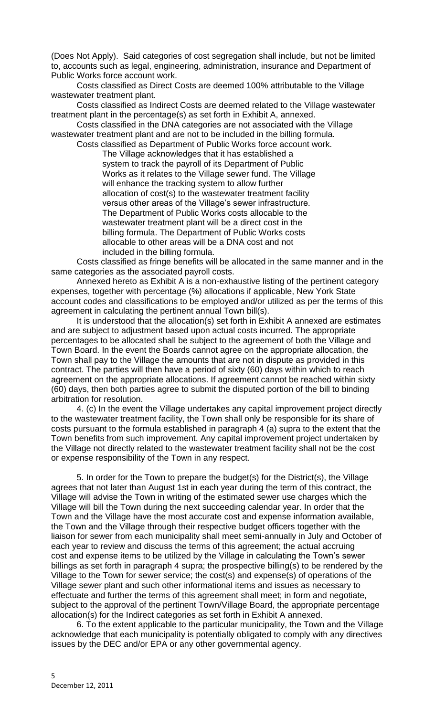(Does Not Apply). Said categories of cost segregation shall include, but not be limited to, accounts such as legal, engineering, administration, insurance and Department of Public Works force account work.

Costs classified as Direct Costs are deemed 100% attributable to the Village wastewater treatment plant.

Costs classified as Indirect Costs are deemed related to the Village wastewater treatment plant in the percentage(s) as set forth in Exhibit A, annexed.

Costs classified in the DNA categories are not associated with the Village wastewater treatment plant and are not to be included in the billing formula.

Costs classified as Department of Public Works force account work. The Village acknowledges that it has established a system to track the payroll of its Department of Public Works as it relates to the Village sewer fund. The Village will enhance the tracking system to allow further allocation of cost(s) to the wastewater treatment facility versus other areas of the Village's sewer infrastructure. The Department of Public Works costs allocable to the wastewater treatment plant will be a direct cost in the billing formula. The Department of Public Works costs allocable to other areas will be a DNA cost and not included in the billing formula.

Costs classified as fringe benefits will be allocated in the same manner and in the same categories as the associated payroll costs.

Annexed hereto as Exhibit A is a non-exhaustive listing of the pertinent category expenses, together with percentage (%) allocations if applicable, New York State account codes and classifications to be employed and/or utilized as per the terms of this agreement in calculating the pertinent annual Town bill(s).

It is understood that the allocation(s) set forth in Exhibit A annexed are estimates and are subject to adjustment based upon actual costs incurred. The appropriate percentages to be allocated shall be subject to the agreement of both the Village and Town Board. In the event the Boards cannot agree on the appropriate allocation, the Town shall pay to the Village the amounts that are not in dispute as provided in this contract. The parties will then have a period of sixty (60) days within which to reach agreement on the appropriate allocations. If agreement cannot be reached within sixty (60) days, then both parties agree to submit the disputed portion of the bill to binding arbitration for resolution.

4. (c) In the event the Village undertakes any capital improvement project directly to the wastewater treatment facility, the Town shall only be responsible for its share of costs pursuant to the formula established in paragraph 4 (a) supra to the extent that the Town benefits from such improvement. Any capital improvement project undertaken by the Village not directly related to the wastewater treatment facility shall not be the cost or expense responsibility of the Town in any respect.

5. In order for the Town to prepare the budget(s) for the District(s), the Village agrees that not later than August 1st in each year during the term of this contract, the Village will advise the Town in writing of the estimated sewer use charges which the Village will bill the Town during the next succeeding calendar year. In order that the Town and the Village have the most accurate cost and expense information available, the Town and the Village through their respective budget officers together with the liaison for sewer from each municipality shall meet semi-annually in July and October of each year to review and discuss the terms of this agreement; the actual accruing cost and expense items to be utilized by the Village in calculating the Town's sewer billings as set forth in paragraph 4 supra; the prospective billing(s) to be rendered by the Village to the Town for sewer service; the cost(s) and expense(s) of operations of the Village sewer plant and such other informational items and issues as necessary to effectuate and further the terms of this agreement shall meet; in form and negotiate, subject to the approval of the pertinent Town/Village Board, the appropriate percentage allocation(s) for the Indirect categories as set forth in Exhibit A annexed.

6. To the extent applicable to the particular municipality, the Town and the Village acknowledge that each municipality is potentially obligated to comply with any directives issues by the DEC and/or EPA or any other governmental agency.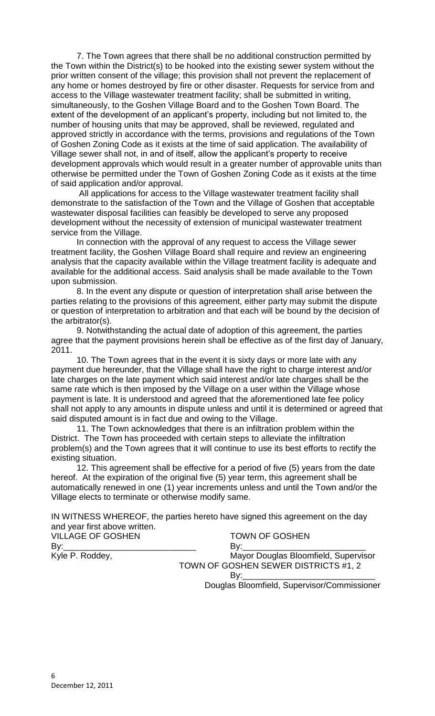7. The Town agrees that there shall be no additional construction permitted by the Town within the District(s) to be hooked into the existing sewer system without the prior written consent of the village; this provision shall not prevent the replacement of any home or homes destroyed by fire or other disaster. Requests for service from and access to the Village wastewater treatment facility; shall be submitted in writing, simultaneously, to the Goshen Village Board and to the Goshen Town Board. The extent of the development of an applicant's property, including but not limited to, the number of housing units that may be approved, shall be reviewed, regulated and approved strictly in accordance with the terms, provisions and regulations of the Town of Goshen Zoning Code as it exists at the time of said application. The availability of Village sewer shall not, in and of itself, allow the applicant's property to receive development approvals which would result in a greater number of approvable units than otherwise be permitted under the Town of Goshen Zoning Code as it exists at the time of said application and/or approval.

All applications for access to the Village wastewater treatment facility shall demonstrate to the satisfaction of the Town and the Village of Goshen that acceptable wastewater disposal facilities can feasibly be developed to serve any proposed development without the necessity of extension of municipal wastewater treatment service from the Village.

In connection with the approval of any request to access the Village sewer treatment facility, the Goshen Village Board shall require and review an engineering analysis that the capacity available within the Village treatment facility is adequate and available for the additional access. Said analysis shall be made available to the Town upon submission.

8. In the event any dispute or question of interpretation shall arise between the parties relating to the provisions of this agreement, either party may submit the dispute or question of interpretation to arbitration and that each will be bound by the decision of the arbitrator(s).

9. Notwithstanding the actual date of adoption of this agreement, the parties agree that the payment provisions herein shall be effective as of the first day of January, 2011.

10. The Town agrees that in the event it is sixty days or more late with any payment due hereunder, that the Village shall have the right to charge interest and/or late charges on the late payment which said interest and/or late charges shall be the same rate which is then imposed by the Village on a user within the Village whose payment is late. It is understood and agreed that the aforementioned late fee policy shall not apply to any amounts in dispute unless and until it is determined or agreed that said disputed amount is in fact due and owing to the Village.

11. The Town acknowledges that there is an infiltration problem within the District. The Town has proceeded with certain steps to alleviate the infiltration problem(s) and the Town agrees that it will continue to use its best efforts to rectify the existing situation.

12. This agreement shall be effective for a period of five (5) years from the date hereof. At the expiration of the original five (5) year term, this agreement shall be automatically renewed in one (1) year increments unless and until the Town and/or the Village elects to terminate or otherwise modify same.

IN WITNESS WHEREOF, the parties hereto have signed this agreement on the day and year first above written.

| <b>VILLAGE OF GOSHEN</b>                                                                                                                                                                                                       | <b>TOWN OF GOSHEN</b>                       |
|--------------------------------------------------------------------------------------------------------------------------------------------------------------------------------------------------------------------------------|---------------------------------------------|
| By: the contract of the contract of the contract of the contract of the contract of the contract of the contract of the contract of the contract of the contract of the contract of the contract of the contract of the contra | By: $\overline{\phantom{a}}$                |
| Kyle P. Roddey,                                                                                                                                                                                                                | Mayor Douglas Bloomfield, Supervisor        |
|                                                                                                                                                                                                                                | TOWN OF GOSHEN SEWER DISTRICTS #1, 2        |
|                                                                                                                                                                                                                                |                                             |
|                                                                                                                                                                                                                                | Douglas Bloomfield, Supervisor/Commissioner |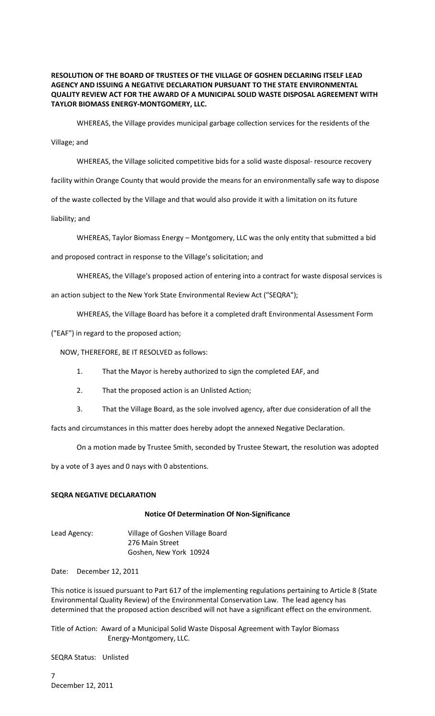### **RESOLUTION OF THE BOARD OF TRUSTEES OF THE VILLAGE OF GOSHEN DECLARING ITSELF LEAD AGENCY AND ISSUING A NEGATIVE DECLARATION PURSUANT TO THE STATE ENVIRONMENTAL QUALITY REVIEW ACT FOR THE AWARD OF A MUNICIPAL SOLID WASTE DISPOSAL AGREEMENT WITH TAYLOR BIOMASS ENERGY-MONTGOMERY, LLC.**

WHEREAS, the Village provides municipal garbage collection services for the residents of the

#### Village; and

WHEREAS, the Village solicited competitive bids for a solid waste disposal- resource recovery facility within Orange County that would provide the means for an environmentally safe way to dispose of the waste collected by the Village and that would also provide it with a limitation on its future liability; and

WHEREAS, Taylor Biomass Energy – Montgomery, LLC was the only entity that submitted a bid

and proposed contract in response to the Village's solicitation; and

WHEREAS, the Village's proposed action of entering into a contract for waste disposal services is an action subject to the New York State Environmental Review Act ("SEQRA");

WHEREAS, the Village Board has before it a completed draft Environmental Assessment Form

("EAF") in regard to the proposed action;

NOW, THEREFORE, BE IT RESOLVED as follows:

- 1. That the Mayor is hereby authorized to sign the completed EAF, and
- 2. That the proposed action is an Unlisted Action;
- 3. That the Village Board, as the sole involved agency, after due consideration of all the

facts and circumstances in this matter does hereby adopt the annexed Negative Declaration.

On a motion made by Trustee Smith, seconded by Trustee Stewart, the resolution was adopted

by a vote of 3 ayes and 0 nays with 0 abstentions.

## **SEQRA NEGATIVE DECLARATION**

#### **Notice Of Determination Of Non-Significance**

Lead Agency: Village of Goshen Village Board 276 Main Street Goshen, New York 10924

Date: December 12, 2011

This notice is issued pursuant to Part 617 of the implementing regulations pertaining to Article 8 (State Environmental Quality Review) of the Environmental Conservation Law. The lead agency has determined that the proposed action described will not have a significant effect on the environment.

Title of Action: Award of a Municipal Solid Waste Disposal Agreement with Taylor Biomass Energy-Montgomery, LLC.

SEQRA Status: Unlisted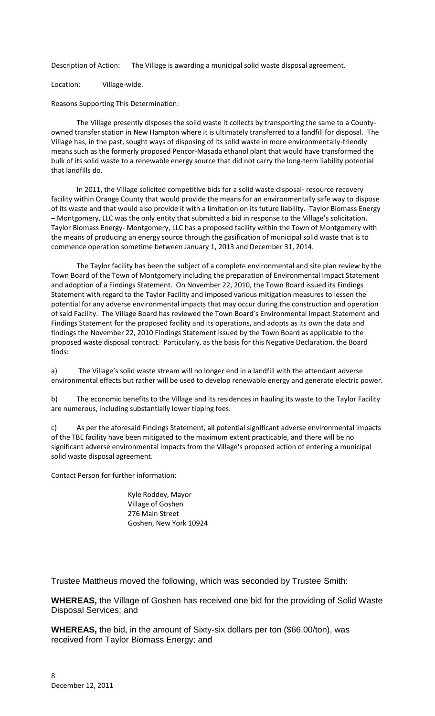Description of Action: The Village is awarding a municipal solid waste disposal agreement.

Location: Village-wide.

Reasons Supporting This Determination:

The Village presently disposes the solid waste it collects by transporting the same to a Countyowned transfer station in New Hampton where it is ultimately transferred to a landfill for disposal. The Village has, in the past, sought ways of disposing of its solid waste in more environmentally-friendly means such as the formerly proposed Pencor-Masada ethanol plant that would have transformed the bulk of its solid waste to a renewable energy source that did not carry the long-term liability potential that landfills do.

In 2011, the Village solicited competitive bids for a solid waste disposal- resource recovery facility within Orange County that would provide the means for an environmentally safe way to dispose of its waste and that would also provide it with a limitation on its future liability. Taylor Biomass Energy – Montgomery, LLC was the only entity that submitted a bid in response to the Village's solicitation. Taylor Biomass Energy- Montgomery, LLC has a proposed facility within the Town of Montgomery with the means of producing an energy source through the gasification of municipal solid waste that is to commence operation sometime between January 1, 2013 and December 31, 2014.

The Taylor facility has been the subject of a complete environmental and site plan review by the Town Board of the Town of Montgomery including the preparation of Environmental Impact Statement and adoption of a Findings Statement. On November 22, 2010, the Town Board issued its Findings Statement with regard to the Taylor Facility and imposed various mitigation measures to lessen the potential for any adverse environmental impacts that may occur during the construction and operation of said Facility. The Village Board has reviewed the Town Board's Environmental Impact Statement and Findings Statement for the proposed facility and its operations, and adopts as its own the data and findings the November 22, 2010 Findings Statement issued by the Town Board as applicable to the proposed waste disposal contract. Particularly, as the basis for this Negative Declaration, the Board finds:

a) The Village's solid waste stream will no longer end in a landfill with the attendant adverse environmental effects but rather will be used to develop renewable energy and generate electric power.

b) The economic benefits to the Village and its residences in hauling its waste to the Taylor Facility are numerous, including substantially lower tipping fees.

c) As per the aforesaid Findings Statement, all potential significant adverse environmental impacts of the TBE facility have been mitigated to the maximum extent practicable, and there will be no significant adverse environmental impacts from the Village's proposed action of entering a municipal solid waste disposal agreement.

Contact Person for further information:

Kyle Roddey, Mayor Village of Goshen 276 Main Street Goshen, New York 10924

Trustee Mattheus moved the following, which was seconded by Trustee Smith:

**WHEREAS,** the Village of Goshen has received one bid for the providing of Solid Waste Disposal Services; and

**WHEREAS,** the bid, in the amount of Sixty-six dollars per ton (\$66.00/ton), was received from Taylor Biomass Energy; and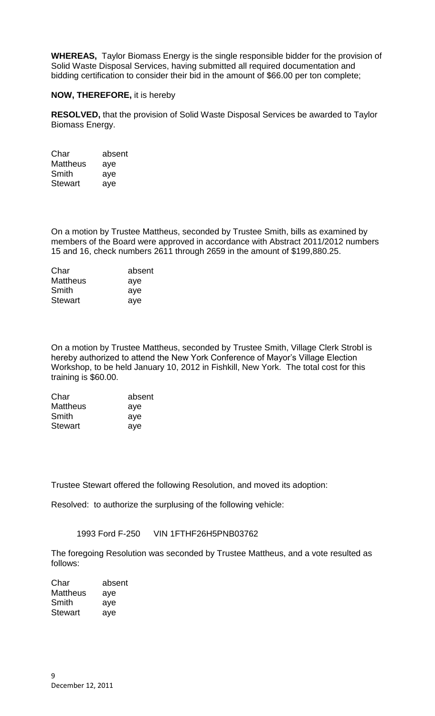**WHEREAS,** Taylor Biomass Energy is the single responsible bidder for the provision of Solid Waste Disposal Services, having submitted all required documentation and bidding certification to consider their bid in the amount of \$66.00 per ton complete;

# **NOW, THEREFORE,** it is hereby

**RESOLVED,** that the provision of Solid Waste Disposal Services be awarded to Taylor Biomass Energy.

| Char            | absent |
|-----------------|--------|
| <b>Mattheus</b> | aye    |
| Smith           | aye    |
| <b>Stewart</b>  | aye    |

On a motion by Trustee Mattheus, seconded by Trustee Smith, bills as examined by members of the Board were approved in accordance with Abstract 2011/2012 numbers 15 and 16, check numbers 2611 through 2659 in the amount of \$199,880.25.

| absent |
|--------|
| aye    |
| aye    |
| aye    |
|        |

On a motion by Trustee Mattheus, seconded by Trustee Smith, Village Clerk Strobl is hereby authorized to attend the New York Conference of Mayor's Village Election Workshop, to be held January 10, 2012 in Fishkill, New York. The total cost for this training is \$60.00.

| Char            | absent |
|-----------------|--------|
| <b>Mattheus</b> | aye    |
| Smith           | aye    |
| <b>Stewart</b>  | aye    |

Trustee Stewart offered the following Resolution, and moved its adoption:

Resolved: to authorize the surplusing of the following vehicle:

1993 Ford F-250 VIN 1FTHF26H5PNB03762

The foregoing Resolution was seconded by Trustee Mattheus, and a vote resulted as follows:

| Char     | absent |
|----------|--------|
| Mattheus | aye    |
| Smith    | aye    |
| Stewart  | aye    |